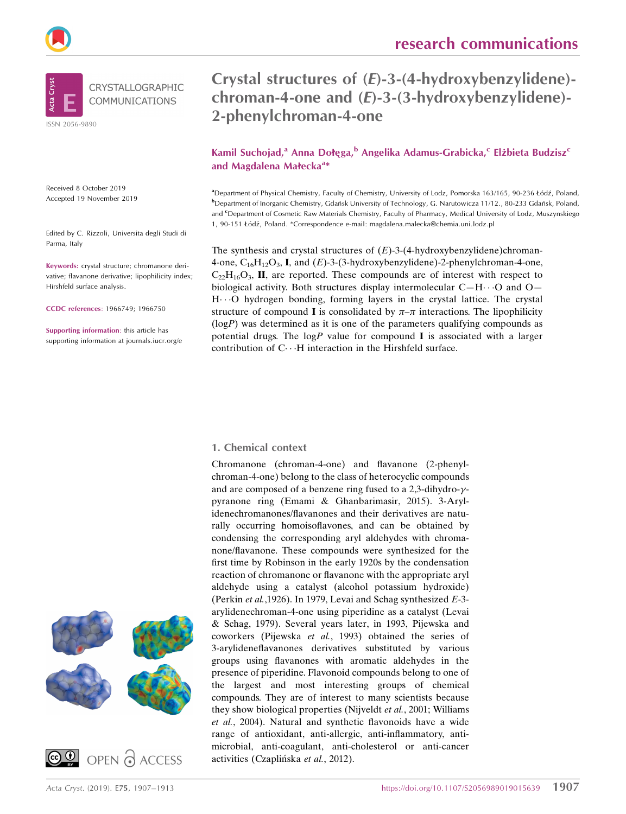



Received 8 October 2019 Accepted 19 November 2019

Edited by C. Rizzoli, Universita degli Studi di Parma, Italy

Keywords: crystal structure; chromanone derivative; flavanone derivative; lipophilicity index; Hirshfeld surface analysis.

CCDC references: 1966749; 1966750

Supporting information: this article has supporting information at journals.iucr.org/e





# Crystal structures of (E)-3-(4-hydroxybenzylidene) chroman-4-one and (E)-3-(3-hydroxybenzylidene)- 2-phenylchroman-4-one

Kamil Suchojad,<sup>a</sup> Anna Dołęga,<sup>b</sup> Angelika Adamus-Grabicka,<sup>c</sup> Elżbieta Budzisz<sup>c</sup> and Magdalena Małecka<sup>a</sup>\*

<sup>a</sup>Department of Physical Chemistry, Faculty of Chemistry, University of Lodz, Pomorska 163/165, 90-236 Łódź, Poland, **b** Department of Inorganic Chemistry, Gdańsk University of Technology, G. Narutowicza 11/12., 80-233 Gdańsk, Poland, and <sup>c</sup>Department of Cosmetic Raw Materials Chemistry, Faculty of Pharmacy, Medical University of Lodz, Muszynskiego 1, 90-151 Łódź, Poland. \*Correspondence e-mail: magdalena.malecka@chemia.uni.lodz.pl

The synthesis and crystal structures of  $(E)$ -3-(4-hydroxybenzylidene)chroman-4-one,  $C_{16}H_{12}O_3$ , I, and  $(E)$ -3-(3-hydroxybenzylidene)-2-phenylchroman-4-one,  $C_{22}H_{16}O_3$ , II, are reported. These compounds are of interest with respect to biological activity. Both structures display intermolecular  $C-H\cdots O$  and  $O-$ H---O hydrogen bonding, forming layers in the crystal lattice. The crystal structure of compound **I** is consolidated by  $\pi-\pi$  interactions. The lipophilicity  $(logP)$  was determined as it is one of the parameters qualifying compounds as potential drugs. The  $logP$  value for compound I is associated with a larger contribution of C···H interaction in the Hirshfeld surface.

#### 1. Chemical context

Chromanone (chroman-4-one) and flavanone (2-phenylchroman-4-one) belong to the class of heterocyclic compounds and are composed of a benzene ring fused to a  $2,3$ -dihydro- $\gamma$ pyranone ring (Emami & Ghanbarimasir, 2015). 3-Arylidenechromanones/flavanones and their derivatives are naturally occurring homoisoflavones, and can be obtained by condensing the corresponding aryl aldehydes with chromanone/flavanone. These compounds were synthesized for the first time by Robinson in the early 1920s by the condensation reaction of chromanone or flavanone with the appropriate aryl aldehyde using a catalyst (alcohol potassium hydroxide) (Perkin et al.,1926). In 1979, Levai and Schag synthesized E-3 arylidenechroman-4-one using piperidine as a catalyst (Levai & Schag, 1979). Several years later, in 1993, Pijewska and coworkers (Pijewska et al., 1993) obtained the series of 3-arylideneflavanones derivatives substituted by various groups using flavanones with aromatic aldehydes in the presence of piperidine. Flavonoid compounds belong to one of the largest and most interesting groups of chemical compounds. They are of interest to many scientists because they show biological properties (Nijveldt et al., 2001; Williams et al., 2004). Natural and synthetic flavonoids have a wide range of antioxidant, anti-allergic, anti-inflammatory, antimicrobial, anti-coagulant, anti-cholesterol or anti-cancer activities (Czaplińska et al., 2012).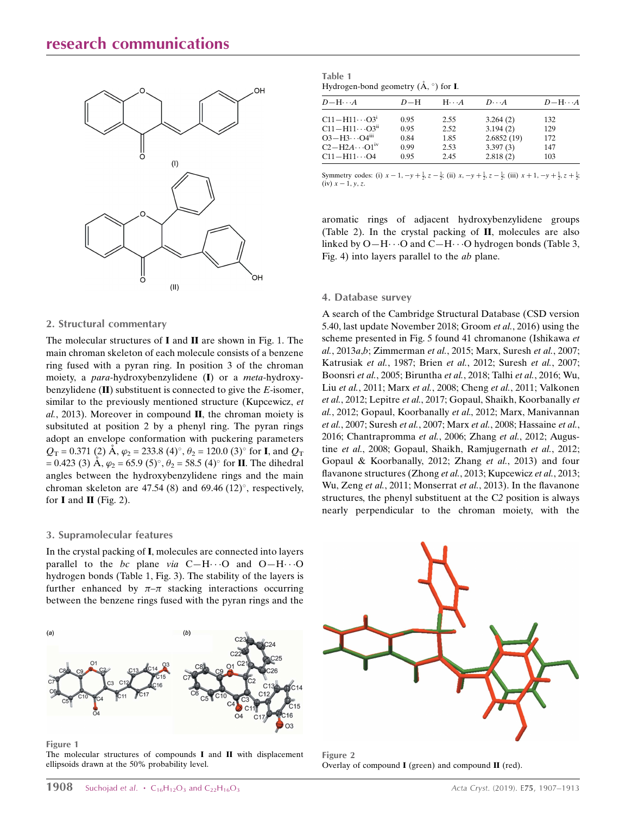# research communications



#### 2. Structural commentary

The molecular structures of I and II are shown in Fig. 1. The main chroman skeleton of each molecule consists of a benzene ring fused with a pyran ring. In position 3 of the chroman moiety, a para-hydroxybenzylidene (I) or a meta-hydroxybenzylidene  $(II)$  substituent is connected to give the *E*-isomer, similar to the previously mentioned structure (Kupcewicz, et  $al$ , 2013). Moreover in compound  $II$ , the chroman moiety is subsituted at position 2 by a phenyl ring. The pyran rings adopt an envelope conformation with puckering parameters  $Q_T = 0.371$  (2)  $\AA$ ,  $\varphi_2 = 233.8$  (4)°,  $\theta_2 = 120.0$  (3)° for **I**, and  $Q_T$  $= 0.423$  (3) Å,  $\varphi_2 = 65.9$  (5)°,  $\theta_2 = 58.5$  (4)° for **II**. The dihedral angles between the hydroxybenzylidene rings and the main chroman skeleton are 47.54 (8) and 69.46 (12) $^{\circ}$ , respectively, for  $I$  and  $II$  (Fig. 2).

#### 3. Supramolecular features

In the crystal packing of I, molecules are connected into layers parallel to the bc plane via  $C-H\cdots O$  and  $O-H\cdots O$ hydrogen bonds (Table 1, Fig. 3). The stability of the layers is further enhanced by  $\pi-\pi$  stacking interactions occurring between the benzene rings fused with the pyran rings and the

Table 1 Hydrogen-bond geometry  $(\AA, \degree)$  for **I**.

| $D-H\cdots A$                   | $D-H$ | $H \cdot \cdot \cdot A$ | $D\cdot\cdot\cdot A$ | $D - H \cdot A$ |
|---------------------------------|-------|-------------------------|----------------------|-----------------|
| $C11 - H11 \cdots O3^1$         | 0.95  | 2.55                    | 3.264(2)             | 132             |
| $C11 - H11 \cdots O3^{ii}$      | 0.95  | 2.52                    | 3.194(2)             | 129             |
| $O3-H3 \cdot O4$ <sup>iii</sup> | 0.84  | 1.85                    | 2.6852(19)           | 172             |
| $C2-H2A\cdots O1iv$             | 0.99  | 2.53                    | 3.397(3)             | 147             |
| $C11 - H11 \cdots O4$           | 0.95  | 2.45                    | 2.818(2)             | 103             |
|                                 |       |                         |                      |                 |

Symmetry codes: (i)  $x - 1$ ,  $-y + \frac{1}{2}$ ,  $z - \frac{1}{2}$ ; (ii)  $x$ ,  $-y + \frac{1}{2}$ ,  $z - \frac{1}{2}$ ; (iii)  $x + 1$ ,  $-y + \frac{1}{2}$ ,  $z + \frac{1}{2}$ ; (iv)  $x - 1$ ,  $y, z$ .

aromatic rings of adjacent hydroxybenzylidene groups (Table 2). In the crystal packing of II, molecules are also linked by  $O-H\cdots O$  and  $C-H\cdots O$  hydrogen bonds (Table 3, Fig. 4) into layers parallel to the ab plane.

#### 4. Database survey

A search of the Cambridge Structural Database (CSD version 5.40, last update November 2018; Groom et al., 2016) using the scheme presented in Fig. 5 found 41 chromanone (Ishikawa et al., 2013a,b; Zimmerman et al., 2015; Marx, Suresh et al., 2007; Katrusiak et al., 1987; Brien et al., 2012; Suresh et al., 2007; Boonsri et al., 2005; Biruntha et al., 2018; Talhi et al., 2016; Wu, Liu et al., 2011; Marx et al., 2008; Cheng et al., 2011; Valkonen et al., 2012; Lepitre et al., 2017; Gopaul, Shaikh, Koorbanally et al., 2012; Gopaul, Koorbanally et al., 2012; Marx, Manivannan et al., 2007; Suresh et al., 2007; Marx et al., 2008; Hassaine et al., 2016; Chantrapromma et al., 2006; Zhang et al., 2012; Augustine et al., 2008; Gopaul, Shaikh, Ramjugernath et al., 2012; Gopaul & Koorbanally, 2012; Zhang et al., 2013) and four flavanone structures (Zhong et al., 2013; Kupcewicz et al., 2013; Wu, Zeng et al., 2011; Monserrat et al., 2013). In the flavanone structures, the phenyl substituent at the C2 position is always nearly perpendicular to the chroman moiety, with the



Figure 1

The molecular structures of compounds  $I$  and  $II$  with displacement ellipsoids drawn at the 50% probability level.



Figure 2 Overlay of compound  $I$  (green) and compound  $II$  (red).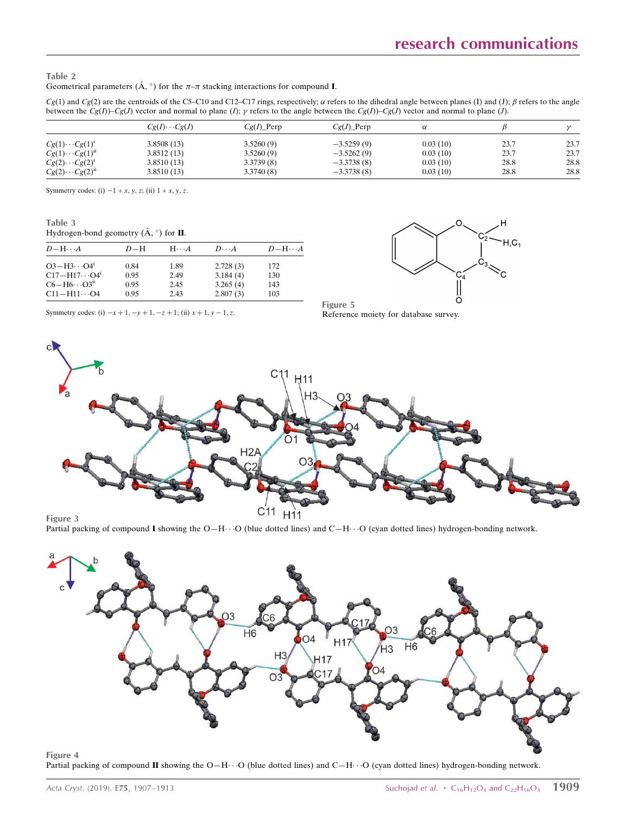$H.C.$ 

#### Table 2 Geometrical parameters ( $\AA$ ,  $\degree$ ) for the  $\pi-\pi$  stacking interactions for compound **I**.

 $Cg(1)$  and  $Cg(2)$  are the centroids of the C5–C10 and C12–C17 rings, respectively;  $\alpha$  refers to the dihedral angle between planes (I) and (J);  $\beta$  refers to the angle between the  $Cg(I)$ )–Cg(J) vector and normal to plane (I);  $\gamma$  refers to the angle between the  $Cg(I)$ )–Cg(J) vector and normal to plane (J).

|                         | $Cg(I)\cdots Cg(J)$ | $Cg(I)$ Perp | $Cg(J)$ Perp | α        |      |      |
|-------------------------|---------------------|--------------|--------------|----------|------|------|
| $Cg(1)\cdots Cg(1)^{1}$ | 3.8508(13)          | 3.5260(9)    | $-3.5259(9)$ | 0.03(10) | 23.7 | 23.7 |
| $Cg(1)\cdot Cg(1)^n$    | 3.8512(13)          | 3.5260(9)    | $-3.5262(9)$ | 0.03(10) | 23.7 | 23.7 |
| $Cg(2)\cdots Cg(2)^{1}$ | 3.8510(13)          | 3.3739(8)    | $-3.3738(8)$ | 0.03(10) | 28.8 | 28.8 |
| $Cg(2)\cdot Cg(2)^n$    | 3.8510(13)          | 3.3740(8)    | $-3.3738(8)$ | 0.03(10) | 28.8 | 28.8 |

Symmetry codes: (i)  $-1 + x$ , y, z; (ii)  $1 + x$ , y, z.

Table 3

| Hydrogen-bond geometry $(\AA, \circ)$ for II. |  |  |  |  |
|-----------------------------------------------|--|--|--|--|
|-----------------------------------------------|--|--|--|--|

| $D - H \cdots A$                             | $D-H$ | $H\cdots A$ | $D\cdot\cdot\cdot A$ | $D-H\cdots A$ |
|----------------------------------------------|-------|-------------|----------------------|---------------|
| $O3 - H3 \cdot O4$ <sup>1</sup>              | 0.84  | 1.89        | 2.728(3)             | 172           |
| $C17 - H17 \cdots Q4^{i}$                    | 0.95  | 2.49        | 3.184(4)             | 130           |
| $C6 - H6 \cdot \cdot \cdot O3$ <sup>ii</sup> | 0.95  | 2.45        | 3.265(4)             | 143           |
| $C11 - H11 \cdots O4$                        | 0.95  | 2.43        | 2.807(3)             | 103           |



Symmetry codes: (i)  $-x + 1$ ,  $-y + 1$ ,  $-z + 1$ ; (ii)  $x + 1$ ,  $y - 1$ , z.



Figure 5

Figure 3

H<sub>11</sub> Partial packing of compound I showing the  $O-H \cdot \cdot O$  (blue dotted lines) and  $C-H \cdot \cdot \cdot O$  (cyan dotted lines) hydrogen-bonding network.

C<sub>11</sub>



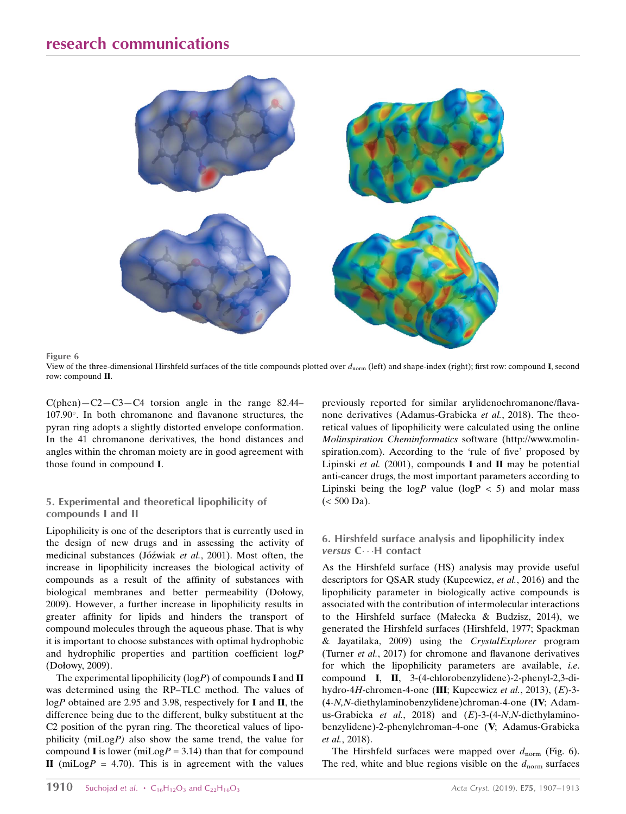



View of the three-dimensional Hirshfeld surfaces of the title compounds plotted over  $d_{\text{norm}}$  (left) and shape-index (right); first row: compound I, second row: compound II.

 $C(phen) - C2 - C3 - C4$  torsion angle in the range 82.44– 107.90. In both chromanone and flavanone structures, the pyran ring adopts a slightly distorted envelope conformation. In the 41 chromanone derivatives, the bond distances and angles within the chroman moiety are in good agreement with those found in compound I.

### 5. Experimental and theoretical lipophilicity of compounds I and II

Lipophilicity is one of the descriptors that is currently used in the design of new drugs and in assessing the activity of medicinal substances (Jóźwiak et al., 2001). Most often, the increase in lipophilicity increases the biological activity of compounds as a result of the affinity of substances with biological membranes and better permeability (Dołowy, 2009). However, a further increase in lipophilicity results in greater affinity for lipids and hinders the transport of compound molecules through the aqueous phase. That is why it is important to choose substances with optimal hydrophobic and hydrophilic properties and partition coefficient logP (Dołowy, 2009).

The experimental lipophilicity ( $log P$ ) of compounds **I** and **II** was determined using the RP–TLC method. The values of logP obtained are 2.95 and 3.98, respectively for I and II, the difference being due to the different, bulky substituent at the C2 position of the pyran ring. The theoretical values of lipophilicity (miLogP) also show the same trend, the value for compound **I** is lower (miLog $P = 3.14$ ) than that for compound II (miLog $P = 4.70$ ). This is in agreement with the values previously reported for similar arylidenochromanone/flavanone derivatives (Adamus-Grabicka et al., 2018). The theoretical values of lipophilicity were calculated using the online Molinspiration Cheminformatics software (http://www.molinspiration.com). According to the 'rule of five' proposed by Lipinski et al.  $(2001)$ , compounds **I** and **II** may be potential anti-cancer drugs, the most important parameters according to Lipinski being the  $log P$  value ( $log P < 5$ ) and molar mass  $(< 500$  Da).

### 6. Hirshfeld surface analysis and lipophilicity index versus C...H contact

As the Hirshfeld surface (HS) analysis may provide useful descriptors for QSAR study (Kupcewicz, et al., 2016) and the lipophilicity parameter in biologically active compounds is associated with the contribution of intermolecular interactions to the Hirshfeld surface (Małecka & Budzisz, 2014), we generated the Hirshfeld surfaces (Hirshfeld, 1977; Spackman & Jayatilaka, 2009) using the CrystalExplorer program (Turner et al., 2017) for chromone and flavanone derivatives for which the lipophilicity parameters are available, i.e. compound I, II, 3-(4-chlorobenzylidene)-2-phenyl-2,3-dihydro-4H-chromen-4-one (III; Kupcewicz et al., 2013), (E)-3- (4-N,N-diethylaminobenzylidene)chroman-4-one (IV; Adamus-Grabicka et al., 2018) and  $(E)$ -3-(4-N,N-diethylaminobenzylidene)-2-phenylchroman-4-one (V; Adamus-Grabicka et al., 2018).

The Hirshfeld surfaces were mapped over  $d_{\text{norm}}$  (Fig. 6). The red, white and blue regions visible on the  $d_{\text{norm}}$  surfaces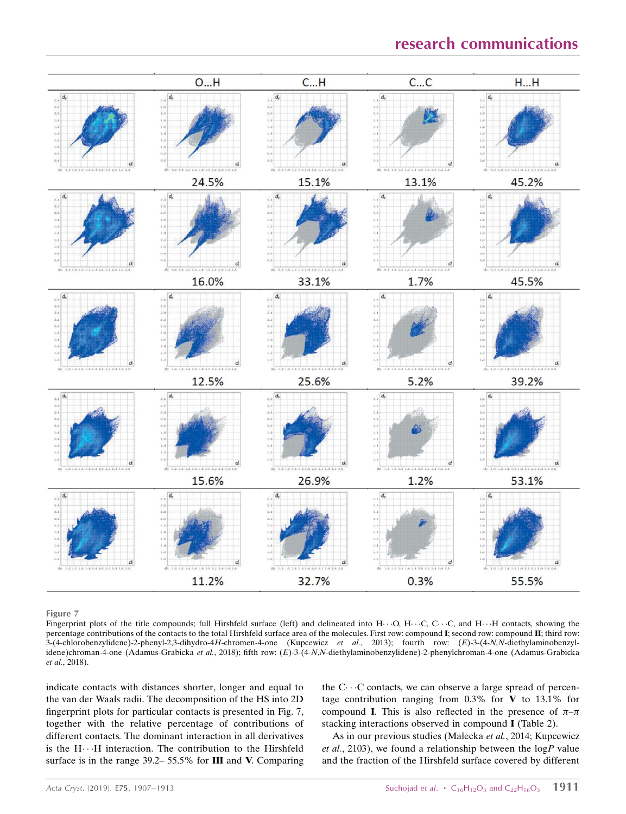

Figure 7

Fingerprint plots of the title compounds; full Hirshfeld surface (left) and delineated into  $H \cdots O$ ,  $H \cdots C$ ,  $C \cdots C$ , and  $H \cdots H$  contacts, showing the percentage contributions of the contacts to the total Hirshfeld surface area of the molecules. First row: compound I; second row: compound II; third row:  $3-(4-chlorobenzylidene)-2-phenyl-2,3-dihydro-4H-chromen-4-one$  (Kupcewicz et al., 2013); fourth row:  $(E)-3-(4-N,N-diethylaminobenzyl-1)$ idene)chroman-4-one (Adamus-Grabicka et al., 2018); fifth row: (E)-3-(4-N,N-diethylaminobenzylidene)-2-phenylchroman-4-one (Adamus-Grabicka et al., 2018).

indicate contacts with distances shorter, longer and equal to the van der Waals radii. The decomposition of the HS into 2D fingerprint plots for particular contacts is presented in Fig. 7, together with the relative percentage of contributions of different contacts. The dominant interaction in all derivatives is the  $H \cdots H$  interaction. The contribution to the Hirshfeld surface is in the range 39.2– 55.5% for III and V. Comparing

the  $C \cdots C$  contacts, we can observe a large spread of percentage contribution ranging from  $0.3\%$  for V to  $13.1\%$  for compound **I**. This is also reflected in the presence of  $\pi-\pi$ stacking interactions observed in compound I (Table 2).

As in our previous studies (Małecka et al., 2014; Kupcewicz et al., 2103), we found a relationship between the  $log P$  value and the fraction of the Hirshfeld surface covered by different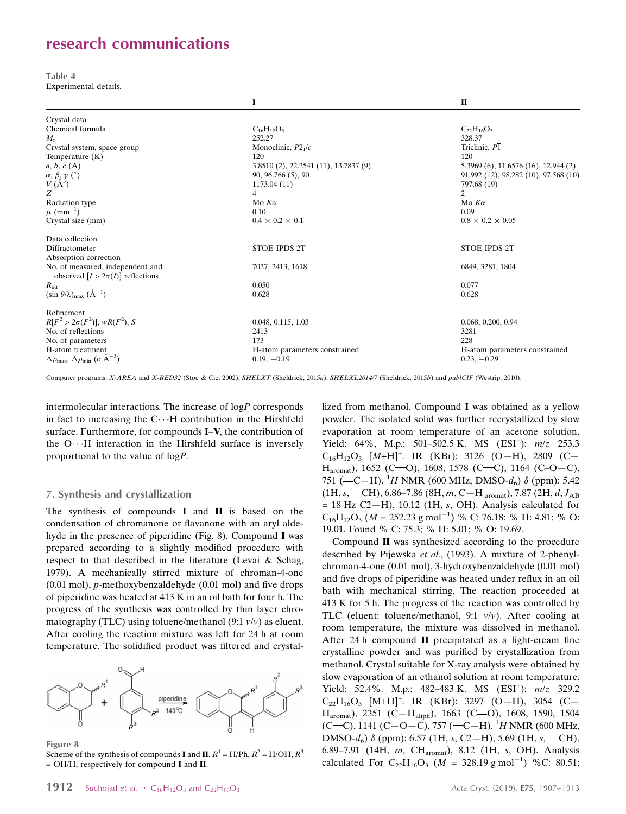# research communications

Table 4 Experimental details.

|                                                                             |                                       | $\mathbf{I}$                                |
|-----------------------------------------------------------------------------|---------------------------------------|---------------------------------------------|
| Crystal data                                                                |                                       |                                             |
| Chemical formula                                                            | $C_{16}H_{12}O_3$                     | $C_{22}H_{16}O_3$                           |
| $M_{\rm r}$                                                                 | 252.27                                | 328.37                                      |
| Crystal system, space group                                                 | Monoclinic, $P21/c$                   | Triclinic, $P\overline{1}$                  |
| Temperature (K)                                                             | 120                                   | 120                                         |
| $a, b, c$ (A)                                                               | 3.8510 (2), 22.2541 (11), 13.7837 (9) | $5.3969(6)$ , 11.6576 $(16)$ , 12.944 $(2)$ |
|                                                                             | 90, 96.766 (5), 90                    | 91.992 (12), 98.282 (10), 97.568 (10)       |
| $\alpha, \beta, \gamma$ (°)<br>$V(A^3)$                                     | 1173.04 (11)                          | 797.68 (19)                                 |
| Z                                                                           | $\overline{4}$                        | $\overline{2}$                              |
| Radiation type                                                              | Mo $K\alpha$                          | Mo $K\alpha$                                |
| $\mu$ (mm <sup>-1</sup> )                                                   | 0.10                                  | 0.09                                        |
| Crystal size (mm)                                                           | $0.4 \times 0.2 \times 0.1$           | $0.8 \times 0.2 \times 0.05$                |
| Data collection                                                             |                                       |                                             |
| Diffractometer                                                              | <b>STOE IPDS 2T</b>                   | <b>STOE IPDS 2T</b>                         |
| Absorption correction                                                       |                                       |                                             |
| No. of measured, independent and<br>observed $[I > 2\sigma(I)]$ reflections | 7027, 2413, 1618                      | 6849, 3281, 1804                            |
| $R_{\rm int}$                                                               | 0.050                                 | 0.077                                       |
| $(\sin \theta/\lambda)_{\text{max}}$ $(\AA^{-1})$                           | 0.628                                 | 0.628                                       |
| Refinement                                                                  |                                       |                                             |
| $R[F^2 > 2\sigma(F^2)], wR(F^2), S$                                         | 0.048, 0.115, 1.03                    | 0.068, 0.200, 0.94                          |
| No. of reflections                                                          | 2413                                  | 3281                                        |
| No. of parameters                                                           | 173                                   | 228                                         |
| H-atom treatment                                                            | H-atom parameters constrained         | H-atom parameters constrained               |
| $\Delta \rho_{\text{max}}$ , $\Delta \rho_{\text{min}}$ (e $\AA^{-3}$ )     | $0.19, -0.19$                         | $0.23, -0.29$                               |

Computer programs: X-AREA and X-RED32 (Stoe & Cie, 2002), SHELXT (Sheldrick, 2015a), SHELXL2014/7 (Sheldrick, 2015b) and publCIF (Westrip, 2010).

intermolecular interactions. The increase of  $log P$  corresponds in fact to increasing the  $C \cdot \cdot H$  contribution in the Hirshfeld surface. Furthermore, for compounds I–V, the contribution of the  $O \cdot \cdot H$  interaction in the Hirshfeld surface is inversely proportional to the value of logP.

#### 7. Synthesis and crystallization

The synthesis of compounds I and II is based on the condensation of chromanone or flavanone with an aryl aldehyde in the presence of piperidine (Fig. 8). Compound I was prepared according to a slightly modified procedure with respect to that described in the literature (Levai & Schag, 1979). A mechanically stirred mixture of chroman-4-one (0.01 mol), p-methoxybenzaldehyde (0.01 mol) and five drops of piperidine was heated at 413 K in an oil bath for four h. The progress of the synthesis was controlled by thin layer chromatography (TLC) using toluene/methanol (9:1  $v/v$ ) as eluent. After cooling the reaction mixture was left for 24 h at room temperature. The solidified product was filtered and crystal-



Figure 8

Scheme of the synthesis of compounds I and II.  $R^1 = H/Ph$ ,  $R^2 = H/OH$ ,  $R^3$ = OH/H, respectively for compound I and II.

lized from methanol. Compound I was obtained as a yellow powder. The isolated solid was further recrystallized by slow evaporation at room temperature of an acetone solution. Yield: 64%, M.p.: 501-502.5 K. MS (ESI<sup>+</sup>):  $m/z$  253.3  $C_{16}H_{12}O_3$  [M+H]<sup>+</sup>. IR (KBr): 3126 (O-H), 2809 (C- $H_{\text{amount}}$ ), 1652 (C=O), 1608, 1578 (C=C), 1164 (C–O–C), 751 (=C-H). <sup>1</sup>H NMR (600 MHz, DMSO- $d_6$ )  $\delta$  (ppm): 5.42  $(1H, s, = CH), 6.86 - 7.86 (8H, m, C-H_{aromat}), 7.87 (2H, d, J_{AB})$  $= 18$  Hz C2-H), 10.12 (1H, s, OH). Analysis calculated for  $C_{16}H_{12}O_3$  ( $M = 252.23$  g mol<sup>-1</sup>) % C: 76.18; % H: 4.81; % O: 19.01. Found % C: 75.3; % H: 5.01; % O: 19.69.

Compound II was synthesized according to the procedure described by Pijewska et al., (1993). A mixture of 2-phenylchroman-4-one (0.01 mol), 3-hydroxybenzaldehyde (0.01 mol) and five drops of piperidine was heated under reflux in an oil bath with mechanical stirring. The reaction proceeded at 413 K for 5 h. The progress of the reaction was controlled by TLC (eluent: toluene/methanol, 9:1  $v/v$ ). After cooling at room temperature, the mixture was dissolved in methanol. After 24 h compound II precipitated as a light-cream fine crystalline powder and was purified by crystallization from methanol. Crystal suitable for X-ray analysis were obtained by slow evaporation of an ethanol solution at room temperature. Yield: 52.4%. M.p.: 482-483 K. MS (ESI<sup>+</sup>):  $m/z$  329.2  $C_{22}H_{16}O_3$  [M+H]<sup>+</sup>. IR (KBr): 3297 (O-H), 3054 (C-H<sub>aromat</sub>), 2351 (C-H<sub>aliph</sub>), 1663 (C=O), 1608, 1590, 1504 (C=C), 1141 (C-O-C), 757 (=C-H). <sup>1</sup>H NMR (600 MHz, DMSO- $d_6$ )  $\delta$  (ppm): 6.57 (1H, s, C2-H), 5.69 (1H, s, =CH), 6.89–7.91 (14H, m, CHaromat), 8.12 (1H, s, OH). Analysis calculated For  $C_{22}H_{16}O_3$  (*M* = 328.19 g mol<sup>-1</sup>) %C: 80.51;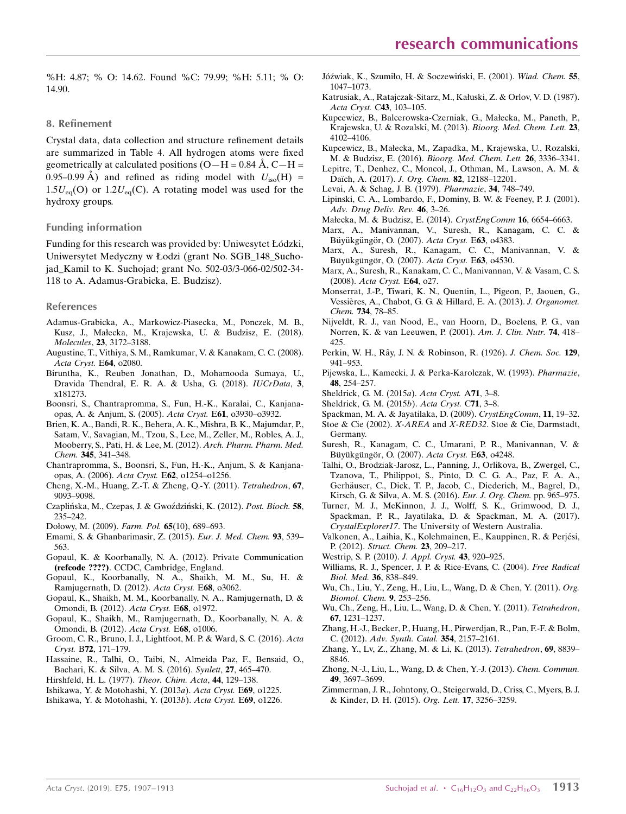#### 8. Refinement

Crystal data, data collection and structure refinement details are summarized in Table 4. All hydrogen atoms were fixed geometrically at calculated positions  $(O-H = 0.84 \text{ Å}, C-H =$ 0.95–0.99 Å) and refined as riding model with  $U_{\text{iso}}(H)$  =  $1.5U_{eq}(O)$  or  $1.2U_{eq}(C)$ . A rotating model was used for the hydroxy groups.

#### Funding information

Funding for this research was provided by: Uniwesytet Łódzki, Uniwersytet Medyczny w Łodzi (grant No. SGB\_148\_Suchojad\_Kamil to K. Suchojad; grant No. 502-03/3-066-02/502-34- 118 to A. Adamus-Grabicka, E. Budzisz).

#### References

- [Adamus-Grabicka, A., Markowicz-Piasecka, M., Ponczek, M. B.,](http://scripts.iucr.org/cgi-bin/cr.cgi?rm=pdfbb&cnor=rz5266&bbid=BB1) [Kusz, J., Małecka, M., Krajewska, U. & Budzisz, E. \(2018\).](http://scripts.iucr.org/cgi-bin/cr.cgi?rm=pdfbb&cnor=rz5266&bbid=BB1) Molecules, 23[, 3172–3188.](http://scripts.iucr.org/cgi-bin/cr.cgi?rm=pdfbb&cnor=rz5266&bbid=BB1)
- [Augustine, T., Vithiya, S. M., Ramkumar, V. & Kanakam, C. C. \(2008\).](http://scripts.iucr.org/cgi-bin/cr.cgi?rm=pdfbb&cnor=rz5266&bbid=BB2) [Acta Cryst.](http://scripts.iucr.org/cgi-bin/cr.cgi?rm=pdfbb&cnor=rz5266&bbid=BB2) E64, o2080.
- [Biruntha, K., Reuben Jonathan, D., Mohamooda Sumaya, U.,](http://scripts.iucr.org/cgi-bin/cr.cgi?rm=pdfbb&cnor=rz5266&bbid=BB3) [Dravida Thendral, E. R. A. & Usha, G. \(2018\).](http://scripts.iucr.org/cgi-bin/cr.cgi?rm=pdfbb&cnor=rz5266&bbid=BB3) IUCrData, 3, [x181273.](http://scripts.iucr.org/cgi-bin/cr.cgi?rm=pdfbb&cnor=rz5266&bbid=BB3)
- [Boonsri, S., Chantrapromma, S., Fun, H.-K., Karalai, C., Kanjana](http://scripts.iucr.org/cgi-bin/cr.cgi?rm=pdfbb&cnor=rz5266&bbid=BB4)[opas, A. & Anjum, S. \(2005\).](http://scripts.iucr.org/cgi-bin/cr.cgi?rm=pdfbb&cnor=rz5266&bbid=BB4) Acta Cryst. E61, o3930–o3932.
- [Brien, K. A., Bandi, R. K., Behera, A. K., Mishra, B. K., Majumdar, P.,](http://scripts.iucr.org/cgi-bin/cr.cgi?rm=pdfbb&cnor=rz5266&bbid=BB5) [Satam, V., Savagian, M., Tzou, S., Lee, M., Zeller, M., Robles, A. J.,](http://scripts.iucr.org/cgi-bin/cr.cgi?rm=pdfbb&cnor=rz5266&bbid=BB5) [Mooberry, S., Pati, H. & Lee, M. \(2012\).](http://scripts.iucr.org/cgi-bin/cr.cgi?rm=pdfbb&cnor=rz5266&bbid=BB5) Arch. Pharm. Pharm. Med. Chem. 345[, 341–348.](http://scripts.iucr.org/cgi-bin/cr.cgi?rm=pdfbb&cnor=rz5266&bbid=BB5)
- [Chantrapromma, S., Boonsri, S., Fun, H.-K., Anjum, S. & Kanjana](http://scripts.iucr.org/cgi-bin/cr.cgi?rm=pdfbb&cnor=rz5266&bbid=BB6)[opas, A. \(2006\).](http://scripts.iucr.org/cgi-bin/cr.cgi?rm=pdfbb&cnor=rz5266&bbid=BB6) Acta Cryst. E62, o1254–o1256.
- [Cheng, X.-M., Huang, Z.-T. & Zheng, Q.-Y. \(2011\).](http://scripts.iucr.org/cgi-bin/cr.cgi?rm=pdfbb&cnor=rz5266&bbid=BB7) Tetrahedron, 67, [9093–9098.](http://scripts.iucr.org/cgi-bin/cr.cgi?rm=pdfbb&cnor=rz5266&bbid=BB7)
- Czaplińska, M., Czepas, J. & Gwoździński, K. (2012). Post. Bioch. 58, [235–242.](http://scripts.iucr.org/cgi-bin/cr.cgi?rm=pdfbb&cnor=rz5266&bbid=BB9)
- [Dołowy, M. \(2009\).](http://scripts.iucr.org/cgi-bin/cr.cgi?rm=pdfbb&cnor=rz5266&bbid=BB10) Farm. Pol. 65(10), 689–693.
- [Emami, S. & Ghanbarimasir, Z. \(2015\).](http://scripts.iucr.org/cgi-bin/cr.cgi?rm=pdfbb&cnor=rz5266&bbid=BB11) Eur. J. Med. Chem. 93, 539– [563.](http://scripts.iucr.org/cgi-bin/cr.cgi?rm=pdfbb&cnor=rz5266&bbid=BB11)
- [Gopaul, K. & Koorbanally, N. A. \(2012\). Private Communication](http://scripts.iucr.org/cgi-bin/cr.cgi?rm=pdfbb&cnor=rz5266&bbid=BB12) (refcode ????)[. CCDC, Cambridge, England.](http://scripts.iucr.org/cgi-bin/cr.cgi?rm=pdfbb&cnor=rz5266&bbid=BB12)
- [Gopaul, K., Koorbanally, N. A., Shaikh, M. M., Su, H. &](http://scripts.iucr.org/cgi-bin/cr.cgi?rm=pdfbb&cnor=rz5266&bbid=BB13) [Ramjugernath, D. \(2012\).](http://scripts.iucr.org/cgi-bin/cr.cgi?rm=pdfbb&cnor=rz5266&bbid=BB13) Acta Cryst. E68, o3062.
- [Gopaul, K., Shaikh, M. M., Koorbanally, N. A., Ramjugernath, D. &](http://scripts.iucr.org/cgi-bin/cr.cgi?rm=pdfbb&cnor=rz5266&bbid=BB14) [Omondi, B. \(2012\).](http://scripts.iucr.org/cgi-bin/cr.cgi?rm=pdfbb&cnor=rz5266&bbid=BB14) Acta Cryst. E68, o1972.
- [Gopaul, K., Shaikh, M., Ramjugernath, D., Koorbanally, N. A. &](http://scripts.iucr.org/cgi-bin/cr.cgi?rm=pdfbb&cnor=rz5266&bbid=BB15) [Omondi, B. \(2012\).](http://scripts.iucr.org/cgi-bin/cr.cgi?rm=pdfbb&cnor=rz5266&bbid=BB15) Acta Cryst. E68, o1006.
- [Groom, C. R., Bruno, I. J., Lightfoot, M. P. & Ward, S. C. \(2016\).](http://scripts.iucr.org/cgi-bin/cr.cgi?rm=pdfbb&cnor=rz5266&bbid=BB16) Acta Cryst. B72[, 171–179.](http://scripts.iucr.org/cgi-bin/cr.cgi?rm=pdfbb&cnor=rz5266&bbid=BB16)
- [Hassaine, R., Talhi, O., Taibi, N., Almeida Paz, F., Bensaid, O.,](http://scripts.iucr.org/cgi-bin/cr.cgi?rm=pdfbb&cnor=rz5266&bbid=BB17) [Bachari, K. & Silva, A. M. S. \(2016\).](http://scripts.iucr.org/cgi-bin/cr.cgi?rm=pdfbb&cnor=rz5266&bbid=BB17) Synlett, 27, 465–470.
- [Hirshfeld, H. L. \(1977\).](http://scripts.iucr.org/cgi-bin/cr.cgi?rm=pdfbb&cnor=rz5266&bbid=BB18) Theor. Chim. Acta, 44, 129–138.
- [Ishikawa, Y. & Motohashi, Y. \(2013](http://scripts.iucr.org/cgi-bin/cr.cgi?rm=pdfbb&cnor=rz5266&bbid=BB19)a). Acta Cryst. E69, o1225.
- [Ishikawa, Y. & Motohashi, Y. \(2013](http://scripts.iucr.org/cgi-bin/cr.cgi?rm=pdfbb&cnor=rz5266&bbid=BB20)b). Acta Cryst. E69, o1226.
- Jóźwiak, K., Szumiło, H. & Soczewiński, E. (2001). Wiad. Chem. 55, [1047–1073.](http://scripts.iucr.org/cgi-bin/cr.cgi?rm=pdfbb&cnor=rz5266&bbid=BB21)
- [Katrusiak, A., Ratajczak-Sitarz, M., Kałuski, Z. & Orlov, V. D. \(1987\).](http://scripts.iucr.org/cgi-bin/cr.cgi?rm=pdfbb&cnor=rz5266&bbid=BB22) [Acta Cryst.](http://scripts.iucr.org/cgi-bin/cr.cgi?rm=pdfbb&cnor=rz5266&bbid=BB22) C43, 103-105.
- [Kupcewicz, B., Balcerowska-Czerniak, G., Małecka, M., Paneth, P.,](http://scripts.iucr.org/cgi-bin/cr.cgi?rm=pdfbb&cnor=rz5266&bbid=BB23) [Krajewska, U. & Rozalski, M. \(2013\).](http://scripts.iucr.org/cgi-bin/cr.cgi?rm=pdfbb&cnor=rz5266&bbid=BB23) Bioorg. Med. Chem. Lett. 23, [4102–4106.](http://scripts.iucr.org/cgi-bin/cr.cgi?rm=pdfbb&cnor=rz5266&bbid=BB23)
- [Kupcewicz, B., Małecka, M., Zapadka, M., Krajewska, U., Rozalski,](http://scripts.iucr.org/cgi-bin/cr.cgi?rm=pdfbb&cnor=rz5266&bbid=BB24) M. & Budzisz, E. (2016). [Bioorg. Med. Chem. Lett.](http://scripts.iucr.org/cgi-bin/cr.cgi?rm=pdfbb&cnor=rz5266&bbid=BB24) 26, 3336–3341.
- [Lepitre, T., Denhez, C., Moncol, J., Othman, M., Lawson, A. M. &](http://scripts.iucr.org/cgi-bin/cr.cgi?rm=pdfbb&cnor=rz5266&bbid=BB25) Daïch, A. (2017). J. Org. Chem. 82, 12188-12201.
- [Levai, A. & Schag, J. B. \(1979\).](http://scripts.iucr.org/cgi-bin/cr.cgi?rm=pdfbb&cnor=rz5266&bbid=BB26) Pharmazie, 34, 748–749.
- [Lipinski, C. A., Lombardo, F., Dominy, B. W. & Feeney, P. J. \(2001\).](http://scripts.iucr.org/cgi-bin/cr.cgi?rm=pdfbb&cnor=rz5266&bbid=BB27) [Adv. Drug Deliv. Rev.](http://scripts.iucr.org/cgi-bin/cr.cgi?rm=pdfbb&cnor=rz5266&bbid=BB27) 46, 3–26.
- [Małecka, M. & Budzisz, E. \(2014\).](http://scripts.iucr.org/cgi-bin/cr.cgi?rm=pdfbb&cnor=rz5266&bbid=BB28) CrystEngComm 16, 6654–6663.
- [Marx, A., Manivannan, V., Suresh, R., Kanagam, C. C. &](http://scripts.iucr.org/cgi-bin/cr.cgi?rm=pdfbb&cnor=rz5266&bbid=BB29) Büyükgüngör, O. (2007). Acta Cryst. E63, 04383.
- [Marx, A., Suresh, R., Kanagam, C. C., Manivannan, V. &](http://scripts.iucr.org/cgi-bin/cr.cgi?rm=pdfbb&cnor=rz5266&bbid=BB30) Büyükgüngör, O. (2007). Acta Cryst. E63, 04530.
- [Marx, A., Suresh, R., Kanakam, C. C., Manivannan, V. & Vasam, C. S.](http://scripts.iucr.org/cgi-bin/cr.cgi?rm=pdfbb&cnor=rz5266&bbid=BB31) (2008). [Acta Cryst.](http://scripts.iucr.org/cgi-bin/cr.cgi?rm=pdfbb&cnor=rz5266&bbid=BB31) E64, o27.
- [Monserrat, J.-P., Tiwari, K. N., Quentin, L., Pigeon, P., Jaouen, G.,](http://scripts.iucr.org/cgi-bin/cr.cgi?rm=pdfbb&cnor=rz5266&bbid=BB32) Vessières, A., Chabot, G. G. & Hillard, E. A. (2013). J. Organomet. Chem. 734[, 78–85.](http://scripts.iucr.org/cgi-bin/cr.cgi?rm=pdfbb&cnor=rz5266&bbid=BB32)
- [Nijveldt, R. J., van Nood, E., van Hoorn, D., Boelens, P. G., van](http://scripts.iucr.org/cgi-bin/cr.cgi?rm=pdfbb&cnor=rz5266&bbid=BB33) [Norren, K. & van Leeuwen, P. \(2001\).](http://scripts.iucr.org/cgi-bin/cr.cgi?rm=pdfbb&cnor=rz5266&bbid=BB33) Am. J. Clin. Nutr. 74, 418– [425.](http://scripts.iucr.org/cgi-bin/cr.cgi?rm=pdfbb&cnor=rz5266&bbid=BB33)
- Perkin, W. H., Rây, J. N. & Robinson, R. (1926). J. Chem. Soc. 129, [941–953.](http://scripts.iucr.org/cgi-bin/cr.cgi?rm=pdfbb&cnor=rz5266&bbid=BB34)
- [Pijewska, L., Kamecki, J. & Perka-Karolczak, W. \(1993\).](http://scripts.iucr.org/cgi-bin/cr.cgi?rm=pdfbb&cnor=rz5266&bbid=BB35) Pharmazie, 48[, 254–257.](http://scripts.iucr.org/cgi-bin/cr.cgi?rm=pdfbb&cnor=rz5266&bbid=BB35)
- [Sheldrick, G. M. \(2015](http://scripts.iucr.org/cgi-bin/cr.cgi?rm=pdfbb&cnor=rz5266&bbid=BB36)a). Acta Cryst. A71, 3–8.
- [Sheldrick, G. M. \(2015](http://scripts.iucr.org/cgi-bin/cr.cgi?rm=pdfbb&cnor=rz5266&bbid=BB37)b). Acta Cryst. C71, 3–8.
- [Spackman, M. A. & Jayatilaka, D. \(2009\).](http://scripts.iucr.org/cgi-bin/cr.cgi?rm=pdfbb&cnor=rz5266&bbid=BB38) CrystEngComm, 11, 19–32.
- Stoe & Cie (2002). X-AREA and X-RED32[. Stoe & Cie, Darmstadt,](http://scripts.iucr.org/cgi-bin/cr.cgi?rm=pdfbb&cnor=rz5266&bbid=BB39) [Germany.](http://scripts.iucr.org/cgi-bin/cr.cgi?rm=pdfbb&cnor=rz5266&bbid=BB39)
- [Suresh, R., Kanagam, C. C., Umarani, P. R., Manivannan, V. &](http://scripts.iucr.org/cgi-bin/cr.cgi?rm=pdfbb&cnor=rz5266&bbid=BB40) Büyükgüngör, O. (2007). Acta Cryst. E63, 04248.
- [Talhi, O., Brodziak-Jarosz, L., Panning, J., Orlikova, B., Zwergel, C.,](http://scripts.iucr.org/cgi-bin/cr.cgi?rm=pdfbb&cnor=rz5266&bbid=BB41) [Tzanova, T., Philippot, S., Pinto, D. C. G. A., Paz, F. A. A.,](http://scripts.iucr.org/cgi-bin/cr.cgi?rm=pdfbb&cnor=rz5266&bbid=BB41) Gerhäuser, C., Dick, T. P., Jacob, C., Diederich, M., Bagrel, D., [Kirsch, G. & Silva, A. M. S. \(2016\).](http://scripts.iucr.org/cgi-bin/cr.cgi?rm=pdfbb&cnor=rz5266&bbid=BB41) Eur. J. Org. Chem. pp. 965–975.
- [Turner, M. J., McKinnon, J. J., Wolff, S. K., Grimwood, D. J.,](http://scripts.iucr.org/cgi-bin/cr.cgi?rm=pdfbb&cnor=rz5266&bbid=BB42) [Spackman, P. R., Jayatilaka, D. & Spackman, M. A. \(2017\).](http://scripts.iucr.org/cgi-bin/cr.cgi?rm=pdfbb&cnor=rz5266&bbid=BB42) CrystalExplorer17[. The University of Western Australia.](http://scripts.iucr.org/cgi-bin/cr.cgi?rm=pdfbb&cnor=rz5266&bbid=BB42)
- Valkonen, A., Laihia, K., Kolehmainen, E., Kauppinen, R. & Perjési, P. (2012). [Struct. Chem.](http://scripts.iucr.org/cgi-bin/cr.cgi?rm=pdfbb&cnor=rz5266&bbid=BB43) 23, 209–217.
- [Westrip, S. P. \(2010\).](http://scripts.iucr.org/cgi-bin/cr.cgi?rm=pdfbb&cnor=rz5266&bbid=BB44) J. Appl. Cryst. 43, 920–925.
- [Williams, R. J., Spencer, J. P. & Rice-Evans, C. \(2004\).](http://scripts.iucr.org/cgi-bin/cr.cgi?rm=pdfbb&cnor=rz5266&bbid=BB45) Free Radical [Biol. Med.](http://scripts.iucr.org/cgi-bin/cr.cgi?rm=pdfbb&cnor=rz5266&bbid=BB45) 36, 838–849.
- [Wu, Ch., Liu, Y., Zeng, H., Liu, L., Wang, D. & Chen, Y. \(2011\).](http://scripts.iucr.org/cgi-bin/cr.cgi?rm=pdfbb&cnor=rz5266&bbid=BB46) Org. [Biomol. Chem.](http://scripts.iucr.org/cgi-bin/cr.cgi?rm=pdfbb&cnor=rz5266&bbid=BB46) 9, 253–256.
- [Wu, Ch., Zeng, H., Liu, L., Wang, D. & Chen, Y. \(2011\).](http://scripts.iucr.org/cgi-bin/cr.cgi?rm=pdfbb&cnor=rz5266&bbid=BB47) Tetrahedron, 67[, 1231–1237.](http://scripts.iucr.org/cgi-bin/cr.cgi?rm=pdfbb&cnor=rz5266&bbid=BB47)
- [Zhang, H.-J., Becker, P., Huang, H., Pirwerdjan, R., Pan, F.-F. & Bolm,](http://scripts.iucr.org/cgi-bin/cr.cgi?rm=pdfbb&cnor=rz5266&bbid=BB48) C. (2012). [Adv. Synth. Catal.](http://scripts.iucr.org/cgi-bin/cr.cgi?rm=pdfbb&cnor=rz5266&bbid=BB48) 354, 2157–2161.
- [Zhang, Y., Lv, Z., Zhang, M. & Li, K. \(2013\).](http://scripts.iucr.org/cgi-bin/cr.cgi?rm=pdfbb&cnor=rz5266&bbid=BB49) Tetrahedron, 69, 8839– [8846.](http://scripts.iucr.org/cgi-bin/cr.cgi?rm=pdfbb&cnor=rz5266&bbid=BB49)
- [Zhong, N.-J., Liu, L., Wang, D. & Chen, Y.-J. \(2013\).](http://scripts.iucr.org/cgi-bin/cr.cgi?rm=pdfbb&cnor=rz5266&bbid=BB50) Chem. Commun. 49[, 3697–3699.](http://scripts.iucr.org/cgi-bin/cr.cgi?rm=pdfbb&cnor=rz5266&bbid=BB50)
- [Zimmerman, J. R., Johntony, O., Steigerwald, D., Criss, C., Myers, B. J.](http://scripts.iucr.org/cgi-bin/cr.cgi?rm=pdfbb&cnor=rz5266&bbid=BB51) [& Kinder, D. H. \(2015\).](http://scripts.iucr.org/cgi-bin/cr.cgi?rm=pdfbb&cnor=rz5266&bbid=BB51) Org. Lett. 17, 3256–3259.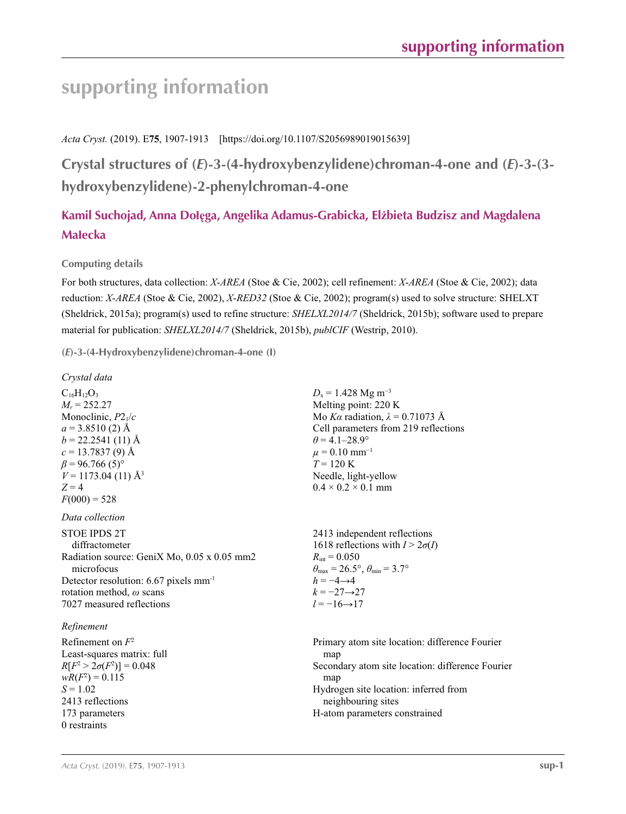# **supporting information**

*Acta Cryst.* (2019). E**75**, 1907-1913 [https://doi.org/10.1107/S2056989019015639]

**Crystal structures of (***E***)-3-(4-hydroxybenzylidene)chroman-4-one and (***E***)-3-(3 hydroxybenzylidene)-2-phenylchroman-4-one**

# **Kamil Suchojad, Anna Dołęga, Angelika Adamus-Grabicka, Elżbieta Budzisz and Magdalena Małecka**

## **Computing details**

For both structures, data collection: *X*-*AREA* (Stoe & Cie, 2002); cell refinement: *X*-*AREA* (Stoe & Cie, 2002); data reduction: *X*-*AREA* (Stoe & Cie, 2002), *X*-*RED32* (Stoe & Cie, 2002); program(s) used to solve structure: SHELXT (Sheldrick, 2015a); program(s) used to refine structure: *SHELXL2014/7* (Sheldrick, 2015b); software used to prepare material for publication: *SHELXL2014/7* (Sheldrick, 2015b), *publCIF* (Westrip, 2010).

**(***E***)-3-(4-Hydroxybenzylidene)chroman-4-one (I)** 

| Crystal data                                      |                                                                         |
|---------------------------------------------------|-------------------------------------------------------------------------|
| $C_{16}H_{12}O_3$                                 | $D_x = 1.428$ Mg m <sup>-3</sup>                                        |
| $M_r = 252.27$                                    | Melting point: 220 K                                                    |
| Monoclinic, $P2_1/c$                              | Mo Ka radiation, $\lambda = 0.71073$ Å                                  |
| $a = 3.8510(2)$ Å                                 | Cell parameters from 219 reflections                                    |
| $b = 22.2541(11)$ Å                               | $\theta = 4.1 - 28.9^{\circ}$                                           |
| $c = 13.7837(9)$ Å                                | $\mu = 0.10$ mm <sup>-1</sup>                                           |
| $\beta$ = 96.766 (5) <sup>o</sup>                 | $T = 120 \text{ K}$                                                     |
| $V = 1173.04(11)$ Å <sup>3</sup>                  | Needle, light-yellow                                                    |
| $Z=4$                                             | $0.4 \times 0.2 \times 0.1$ mm                                          |
| $F(000) = 528$                                    |                                                                         |
| Data collection                                   |                                                                         |
| <b>STOE IPDS 2T</b>                               | 2413 independent reflections                                            |
| diffractometer                                    | 1618 reflections with $I > 2\sigma(I)$                                  |
| Radiation source: GeniX Mo, 0.05 x 0.05 mm2       | $R_{\rm int} = 0.050$                                                   |
| microfocus                                        | $\theta_{\text{max}} = 26.5^{\circ}, \theta_{\text{min}} = 3.7^{\circ}$ |
| Detector resolution: 6.67 pixels mm <sup>-1</sup> | $h = -4 \rightarrow 4$                                                  |
| rotation method, $\omega$ scans                   | $k = -27 \rightarrow 27$                                                |
| 7027 measured reflections                         | $l = -16 \rightarrow 17$                                                |
| Refinement                                        |                                                                         |
| Refinement on $F^2$                               | Primary atom site location: difference Fourier                          |
| Least-squares matrix: full                        | map                                                                     |
| $R[F^2 > 2\sigma(F^2)] = 0.048$                   | Secondary atom site location: difference Fourier                        |
| $wR(F^2) = 0.115$                                 | map                                                                     |
| $S = 1.02$                                        | Hydrogen site location: inferred from                                   |
| 2413 reflections                                  | neighbouring sites                                                      |
| 173 parameters                                    | H-atom parameters constrained                                           |

0 restraints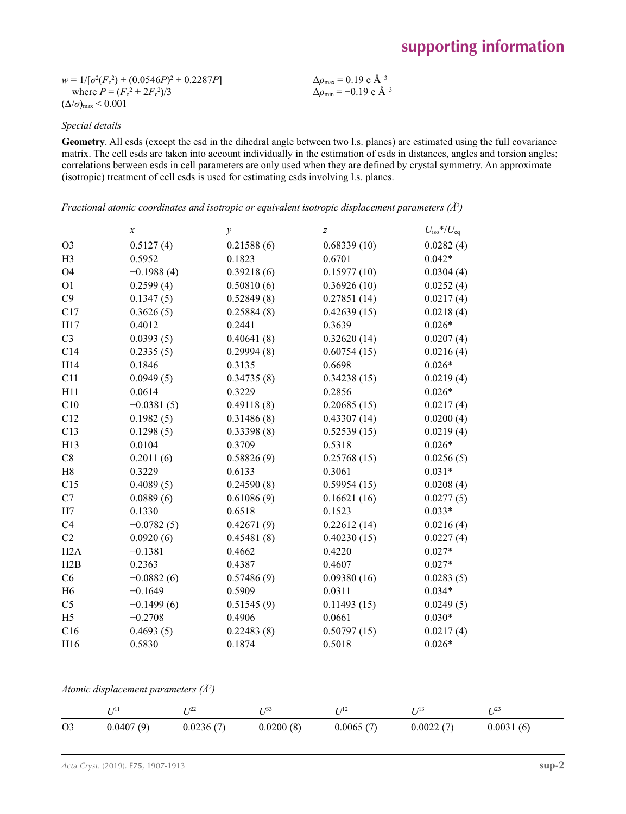$w = 1/[\sigma^2 (F_o^2) + (0.0546P)^2 + 0.2287P]$ where  $P = (F_o^2 + 2F_c^2)/3$  $(\Delta/\sigma)_{\text{max}}$  < 0.001

Δ*ρ*max = 0.19 e Å−3 Δ*ρ*min = −0.19 e Å−3

### *Special details*

**Geometry**. All esds (except the esd in the dihedral angle between two l.s. planes) are estimated using the full covariance matrix. The cell esds are taken into account individually in the estimation of esds in distances, angles and torsion angles; correlations between esds in cell parameters are only used when they are defined by crystal symmetry. An approximate (isotropic) treatment of cell esds is used for estimating esds involving l.s. planes.

*Fractional atomic coordinates and isotropic or equivalent isotropic displacement parameters (Å<sup>2</sup>)* 

|                | $\boldsymbol{x}$ | $\mathcal{Y}$ | $\boldsymbol{Z}$ | $U_{\text{iso}}$ */ $U_{\text{eq}}$ |
|----------------|------------------|---------------|------------------|-------------------------------------|
| O <sub>3</sub> | 0.5127(4)        | 0.21588(6)    | 0.68339(10)      | 0.0282(4)                           |
| H <sub>3</sub> | 0.5952           | 0.1823        | 0.6701           | $0.042*$                            |
| <b>O4</b>      | $-0.1988(4)$     | 0.39218(6)    | 0.15977(10)      | 0.0304(4)                           |
| O <sub>1</sub> | 0.2599(4)        | 0.50810(6)    | 0.36926(10)      | 0.0252(4)                           |
| C9             | 0.1347(5)        | 0.52849(8)    | 0.27851(14)      | 0.0217(4)                           |
| C17            | 0.3626(5)        | 0.25884(8)    | 0.42639(15)      | 0.0218(4)                           |
| H17            | 0.4012           | 0.2441        | 0.3639           | $0.026*$                            |
| C <sub>3</sub> | 0.0393(5)        | 0.40641(8)    | 0.32620(14)      | 0.0207(4)                           |
| C14            | 0.2335(5)        | 0.29994(8)    | 0.60754(15)      | 0.0216(4)                           |
| H14            | 0.1846           | 0.3135        | 0.6698           | $0.026*$                            |
| C11            | 0.0949(5)        | 0.34735(8)    | 0.34238(15)      | 0.0219(4)                           |
| H11            | 0.0614           | 0.3229        | 0.2856           | $0.026*$                            |
| C10            | $-0.0381(5)$     | 0.49118(8)    | 0.20685(15)      | 0.0217(4)                           |
| C12            | 0.1982(5)        | 0.31486(8)    | 0.43307(14)      | 0.0200(4)                           |
| C13            | 0.1298(5)        | 0.33398(8)    | 0.52539(15)      | 0.0219(4)                           |
| H13            | 0.0104           | 0.3709        | 0.5318           | $0.026*$                            |
| C8             | 0.2011(6)        | 0.58826(9)    | 0.25768(15)      | 0.0256(5)                           |
| H8             | 0.3229           | 0.6133        | 0.3061           | $0.031*$                            |
| C15            | 0.4089(5)        | 0.24590(8)    | 0.59954(15)      | 0.0208(4)                           |
| C7             | 0.0889(6)        | 0.61086(9)    | 0.16621(16)      | 0.0277(5)                           |
| H7             | 0.1330           | 0.6518        | 0.1523           | $0.033*$                            |
| C4             | $-0.0782(5)$     | 0.42671(9)    | 0.22612(14)      | 0.0216(4)                           |
| C2             | 0.0920(6)        | 0.45481(8)    | 0.40230(15)      | 0.0227(4)                           |
| H2A            | $-0.1381$        | 0.4662        | 0.4220           | $0.027*$                            |
| H2B            | 0.2363           | 0.4387        | 0.4607           | $0.027*$                            |
| C6             | $-0.0882(6)$     | 0.57486(9)    | 0.09380(16)      | 0.0283(5)                           |
| H6             | $-0.1649$        | 0.5909        | 0.0311           | $0.034*$                            |
| C <sub>5</sub> | $-0.1499(6)$     | 0.51545(9)    | 0.11493(15)      | 0.0249(5)                           |
| H <sub>5</sub> | $-0.2708$        | 0.4906        | 0.0661           | $0.030*$                            |
| C16            | 0.4693(5)        | 0.22483(8)    | 0.50797(15)      | 0.0217(4)                           |
| H16            | 0.5830           | 0.1874        | 0.5018           | $0.026*$                            |

#### *Atomic displacement parameters (Å2 )*

|                | ▼ 71 î    | - 122     | - 133     | - 712     | r 713     | $T_{123}$ |
|----------------|-----------|-----------|-----------|-----------|-----------|-----------|
| O <sub>3</sub> | 0.0407(9) | 0.0236(7) | 0.0200(8) | 0.0065(7) | 0.0022(7) | 0.0031(6) |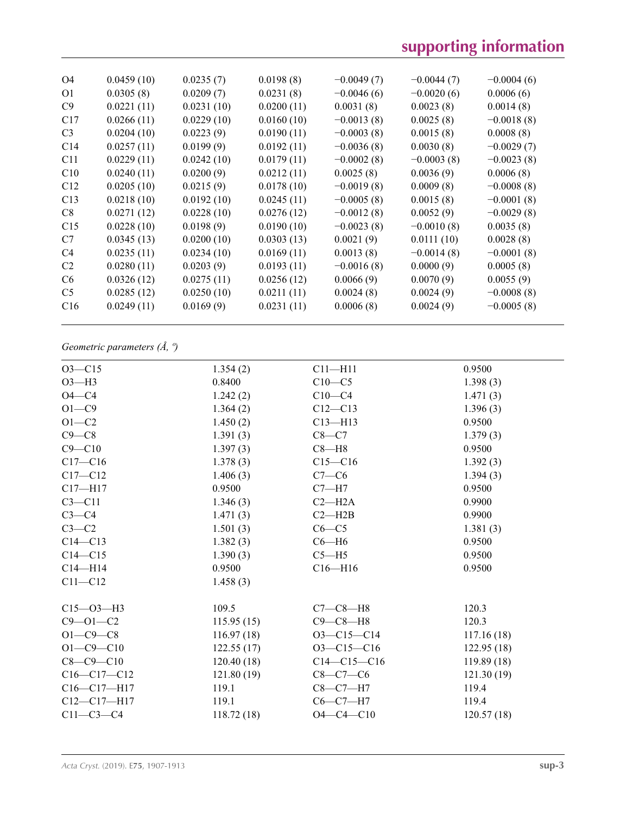# **supporting information**

| O4              | 0.0459(10) | 0.0235(7)  | 0.0198(8)  | $-0.0049(7)$ | $-0.0044(7)$ | $-0.0004(6)$ |
|-----------------|------------|------------|------------|--------------|--------------|--------------|
| O <sub>1</sub>  | 0.0305(8)  | 0.0209(7)  | 0.0231(8)  | $-0.0046(6)$ | $-0.0020(6)$ | 0.0006(6)    |
| C9              | 0.0221(11) | 0.0231(10) | 0.0200(11) | 0.0031(8)    | 0.0023(8)    | 0.0014(8)    |
| C17             | 0.0266(11) | 0.0229(10) | 0.0160(10) | $-0.0013(8)$ | 0.0025(8)    | $-0.0018(8)$ |
| C <sub>3</sub>  | 0.0204(10) | 0.0223(9)  | 0.0190(11) | $-0.0003(8)$ | 0.0015(8)    | 0.0008(8)    |
| C14             | 0.0257(11) | 0.0199(9)  | 0.0192(11) | $-0.0036(8)$ | 0.0030(8)    | $-0.0029(7)$ |
| C <sub>11</sub> | 0.0229(11) | 0.0242(10) | 0.0179(11) | $-0.0002(8)$ | $-0.0003(8)$ | $-0.0023(8)$ |
| C10             | 0.0240(11) | 0.0200(9)  | 0.0212(11) | 0.0025(8)    | 0.0036(9)    | 0.0006(8)    |
| C12             | 0.0205(10) | 0.0215(9)  | 0.0178(10) | $-0.0019(8)$ | 0.0009(8)    | $-0.0008(8)$ |
| C13             | 0.0218(10) | 0.0192(10) | 0.0245(11) | $-0.0005(8)$ | 0.0015(8)    | $-0.0001(8)$ |
| C8              | 0.0271(12) | 0.0228(10) | 0.0276(12) | $-0.0012(8)$ | 0.0052(9)    | $-0.0029(8)$ |
| C15             | 0.0228(10) | 0.0198(9)  | 0.0190(10) | $-0.0023(8)$ | $-0.0010(8)$ | 0.0035(8)    |
| C7              | 0.0345(13) | 0.0200(10) | 0.0303(13) | 0.0021(9)    | 0.0111(10)   | 0.0028(8)    |
| C4              | 0.0235(11) | 0.0234(10) | 0.0169(11) | 0.0013(8)    | $-0.0014(8)$ | $-0.0001(8)$ |
| C <sub>2</sub>  | 0.0280(11) | 0.0203(9)  | 0.0193(11) | $-0.0016(8)$ | 0.0000(9)    | 0.0005(8)    |
| C <sub>6</sub>  | 0.0326(12) | 0.0275(11) | 0.0256(12) | 0.0066(9)    | 0.0070(9)    | 0.0055(9)    |
| C <sub>5</sub>  | 0.0285(12) | 0.0250(10) | 0.0211(11) | 0.0024(8)    | 0.0024(9)    | $-0.0008(8)$ |
| C16             | 0.0249(11) | 0.0169(9)  | 0.0231(11) | 0.0006(8)    | 0.0024(9)    | $-0.0005(8)$ |
|                 |            |            |            |              |              |              |

## *Geometric parameters (Å, º)*

| $O3 - C15$        | 1.354(2)   | $C11 - H11$      | 0.9500     |
|-------------------|------------|------------------|------------|
| $O3-H3$           | 0.8400     | $C10-C5$         | 1.398(3)   |
| $O4 - C4$         | 1.242(2)   | $C10-C4$         | 1.471(3)   |
| $O1 - C9$         | 1.364(2)   | $C12 - C13$      | 1.396(3)   |
| $O1 - C2$         | 1.450(2)   | $C13 - H13$      | 0.9500     |
| $C9 - C8$         | 1.391(3)   | $C8-C7$          | 1.379(3)   |
| $C9 - C10$        | 1.397(3)   | $C8 - H8$        | 0.9500     |
| $C17 - C16$       | 1.378(3)   | $C15 - C16$      | 1.392(3)   |
| $C17 - C12$       | 1.406(3)   | $C7-C6$          | 1.394(3)   |
| $C17 - H17$       | 0.9500     | $C7 - H7$        | 0.9500     |
| $C3 - C11$        | 1.346(3)   | $C2 - H2A$       | 0.9900     |
| $C3-C4$           | 1.471(3)   | $C2 - H2B$       | 0.9900     |
| $C3-C2$           | 1.501(3)   | $C6 - C5$        | 1.381(3)   |
| $C14 - C13$       | 1.382(3)   | $C6 - H6$        | 0.9500     |
| $C14 - C15$       | 1.390(3)   | $C5 - H5$        | 0.9500     |
| $C14 - H14$       | 0.9500     | $C16 - H16$      | 0.9500     |
| $C11 - C12$       | 1.458(3)   |                  |            |
| $C15 - O3 - H3$   | 109.5      | $C7-C8-H8$       | 120.3      |
| $C9 - 01 - C2$    | 115.95(15) | $C9-C8-H8$       | 120.3      |
| $O1 - C9 - C8$    | 116.97(18) | $O3-C15-C14$     | 117.16(18) |
| $O1 - C9 - C10$   | 122.55(17) | $O3 - C15 - C16$ | 122.95(18) |
| $C8 - C9 - C10$   | 120.40(18) | $C14-C15-C16$    | 119.89(18) |
| $C16-C17-C12$     | 121.80(19) | $C8-C7-C6$       | 121.30(19) |
| $C16 - C17 - H17$ | 119.1      | $C8-C7-H7$       | 119.4      |
| $C12-C17-H17$     | 119.1      | $C6-C7-H7$       | 119.4      |
| $C11-C3-C4$       | 118.72(18) | $O4 - C4 - C10$  | 120.57(18) |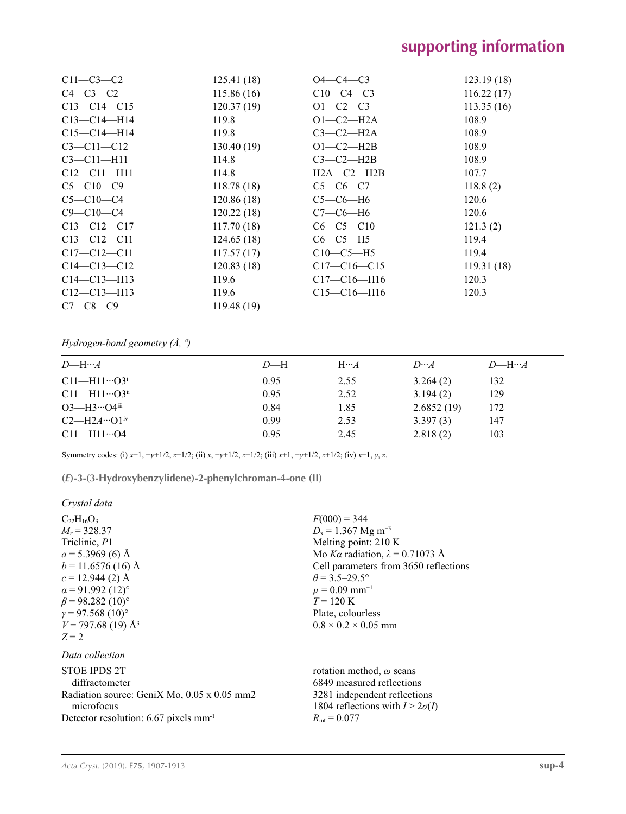| $C11-C3-C2$       | 125.41(18) | $O4 - C4 - C3$    | 123.19(18) |
|-------------------|------------|-------------------|------------|
| $C4-C3-C2$        | 115.86(16) | $C10-C4-C3$       | 116.22(17) |
| $C13 - C14 - C15$ | 120.37(19) | $O1 - C2 - C3$    | 113.35(16) |
| $C13-C14-H14$     | 119.8      | $O1-C2-H2A$       | 108.9      |
| $C15 - C14 - H14$ | 119.8      | $C3-C2-H2A$       | 108.9      |
| $C3 - C11 - C12$  | 130.40(19) | $O1-C2-H2B$       | 108.9      |
| $C3 - C11 - H11$  | 114.8      | $C3-C2-H2B$       | 108.9      |
| $C12 - C11 - H11$ | 114.8      | $H2A - C2 - H2B$  | 107.7      |
| $C5 - C10 - C9$   | 118.78(18) | $C5-C6-C7$        | 118.8(2)   |
| $C5 - C10 - C4$   | 120.86(18) | $C5-C6-H6$        | 120.6      |
| $C9 - C10 - C4$   | 120.22(18) | $C7-C6-H6$        | 120.6      |
| $C13 - C12 - C17$ | 117.70(18) | $C6-C5-C10$       | 121.3(2)   |
| $C13 - C12 - C11$ | 124.65(18) | $C6-C5-H5$        | 119.4      |
| $C17 - C12 - C11$ | 117.57(17) | $C10-C5-H5$       | 119.4      |
| $C14 - C13 - C12$ | 120.83(18) | $C17-C16-C15$     | 119.31(18) |
| $C14 - C13 - H13$ | 119.6      | $C17 - C16 - H16$ | 120.3      |
| $C12 - C13 - H13$ | 119.6      | $C15 - C16 - H16$ | 120.3      |
| $C7-C8-C9$        | 119.48(19) |                   |            |
|                   |            |                   |            |

*Hydrogen-bond geometry (Å, º)*

| $D$ —H | $H \cdots A$ | $D\cdots A$ | $D$ —H… $A$ |
|--------|--------------|-------------|-------------|
| 0.95   | 2.55         | 3.264(2)    | 132         |
| 0.95   | 2.52         | 3.194(2)    | 129         |
| 0.84   | 1.85         | 2.6852(19)  | 172         |
| 0.99   | 2.53         | 3.397(3)    | 147         |
| 0.95   | 2.45         | 2.818(2)    | 103         |
|        |              |             |             |

Symmetry codes: (i) *x*−1, −*y*+1/2, *z*−1/2; (ii) *x*, −*y*+1/2, *z*−1/2; (iii) *x*+1, −*y*+1/2, *z*+1/2; (iv) *x*−1, *y*, *z*.

**(***E***)-3-(3-Hydroxybenzylidene)-2-phenylchroman-4-one (II)** 

### *Crystal data*

| $C_{22}H_{16}O_3$<br>$M_r = 328.37$<br>Triclinic, P1<br>$a = 5.3969$ (6) Å<br>$b = 11.6576(16)$ Å<br>$c = 12.944(2)$ Å<br>$\alpha$ = 91.992 (12)°<br>$\beta$ = 98.282 (10) <sup>o</sup><br>$\gamma = 97.568(10)$ °<br>$V = 797.68(19)$ Å <sup>3</sup><br>$Z = 2$ | $F(000) = 344$<br>$D_x = 1.367$ Mg m <sup>-3</sup><br>Melting point: 210 K<br>Mo Ka radiation, $\lambda = 0.71073$ Å<br>Cell parameters from 3650 reflections<br>$\theta$ = 3.5–29.5°<br>$\mu = 0.09$ mm <sup>-1</sup><br>$T = 120 \text{ K}$<br>Plate, colourless<br>$0.8 \times 0.2 \times 0.05$ mm |
|------------------------------------------------------------------------------------------------------------------------------------------------------------------------------------------------------------------------------------------------------------------|-------------------------------------------------------------------------------------------------------------------------------------------------------------------------------------------------------------------------------------------------------------------------------------------------------|
| Data collection                                                                                                                                                                                                                                                  |                                                                                                                                                                                                                                                                                                       |
| STOE IPDS 2T<br>diffractometer<br>Radiation source: GeniX Mo, 0.05 x 0.05 mm2<br>microfocus<br>Detector resolution: $6.67$ pixels mm <sup>-1</sup>                                                                                                               | rotation method, $\omega$ scans<br>6849 measured reflections<br>3281 independent reflections<br>1804 reflections with $I > 2\sigma(I)$<br>$R_{\rm int} = 0.077$                                                                                                                                       |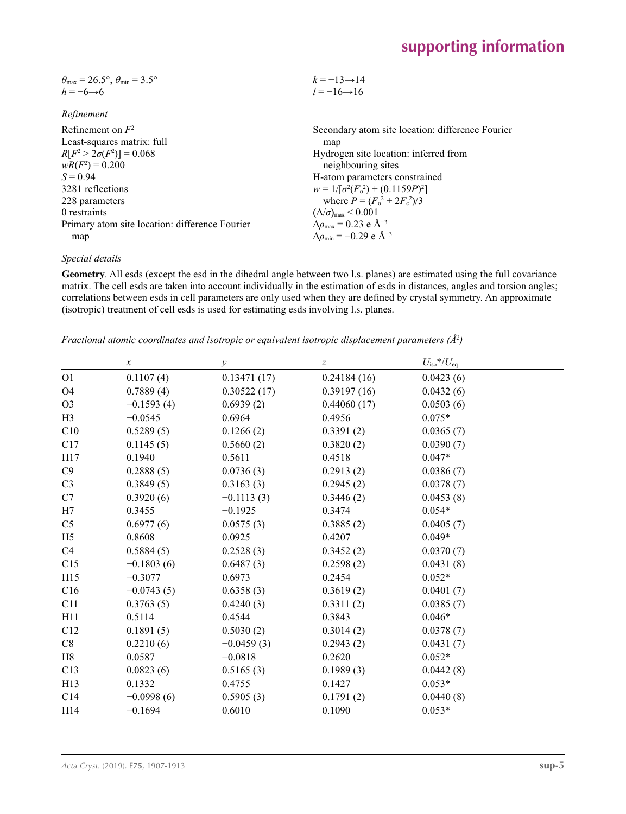| $\theta_{\text{max}} = 26.5^{\circ}, \theta_{\text{min}} = 3.5^{\circ}$ | $k = -13 \rightarrow 14$                                     |
|-------------------------------------------------------------------------|--------------------------------------------------------------|
| $h = -6 \rightarrow 6$                                                  | $l = -16 \rightarrow 16$                                     |
|                                                                         |                                                              |
| Refinement                                                              |                                                              |
| Refinement on $F^2$                                                     | Secondary atom site location: difference Fourier             |
| Least-squares matrix: full                                              | map                                                          |
| $R[F^2 > 2\sigma(F^2)] = 0.068$                                         | Hydrogen site location: inferred from                        |
| $wR(F^2) = 0.200$                                                       | neighbouring sites                                           |
| $S = 0.94$                                                              | H-atom parameters constrained                                |
| 3281 reflections                                                        | $w = 1/[\sigma^2(F_0^2) + (0.1159P)^2]$                      |
| 228 parameters                                                          | where $P = (F_0^2 + 2F_c^2)/3$                               |
| 0 restraints                                                            | $(\Delta/\sigma)_{\text{max}}$ < 0.001                       |
| Primary atom site location: difference Fourier                          | $\Delta \rho_{\text{max}} = 0.23 \text{ e } \text{\AA}^{-3}$ |
| map                                                                     | $\Delta\rho_{\rm min} = -0.29$ e Å <sup>-3</sup>             |
|                                                                         |                                                              |

#### *Special details*

**Geometry**. All esds (except the esd in the dihedral angle between two l.s. planes) are estimated using the full covariance matrix. The cell esds are taken into account individually in the estimation of esds in distances, angles and torsion angles; correlations between esds in cell parameters are only used when they are defined by crystal symmetry. An approximate (isotropic) treatment of cell esds is used for estimating esds involving l.s. planes.

*Fractional atomic coordinates and isotropic or equivalent isotropic displacement parameters (Å<sup>2</sup>)* 

|                | $\boldsymbol{x}$ | $\mathcal{Y}$ | $\boldsymbol{Z}$ | $U_{\rm iso}*/U_{\rm eq}$ |
|----------------|------------------|---------------|------------------|---------------------------|
| O <sub>1</sub> | 0.1107(4)        | 0.13471(17)   | 0.24184(16)      | 0.0423(6)                 |
| O <sub>4</sub> | 0.7889(4)        | 0.30522(17)   | 0.39197(16)      | 0.0432(6)                 |
| O <sub>3</sub> | $-0.1593(4)$     | 0.6939(2)     | 0.44060(17)      | 0.0503(6)                 |
| H <sub>3</sub> | $-0.0545$        | 0.6964        | 0.4956           | $0.075*$                  |
| C10            | 0.5289(5)        | 0.1266(2)     | 0.3391(2)        | 0.0365(7)                 |
| C17            | 0.1145(5)        | 0.5660(2)     | 0.3820(2)        | 0.0390(7)                 |
| H17            | 0.1940           | 0.5611        | 0.4518           | $0.047*$                  |
| C9             | 0.2888(5)        | 0.0736(3)     | 0.2913(2)        | 0.0386(7)                 |
| C <sub>3</sub> | 0.3849(5)        | 0.3163(3)     | 0.2945(2)        | 0.0378(7)                 |
| C7             | 0.3920(6)        | $-0.1113(3)$  | 0.3446(2)        | 0.0453(8)                 |
| H7             | 0.3455           | $-0.1925$     | 0.3474           | $0.054*$                  |
| C <sub>5</sub> | 0.6977(6)        | 0.0575(3)     | 0.3885(2)        | 0.0405(7)                 |
| H <sub>5</sub> | 0.8608           | 0.0925        | 0.4207           | $0.049*$                  |
| C4             | 0.5884(5)        | 0.2528(3)     | 0.3452(2)        | 0.0370(7)                 |
| C15            | $-0.1803(6)$     | 0.6487(3)     | 0.2598(2)        | 0.0431(8)                 |
| H15            | $-0.3077$        | 0.6973        | 0.2454           | $0.052*$                  |
| C16            | $-0.0743(5)$     | 0.6358(3)     | 0.3619(2)        | 0.0401(7)                 |
| C11            | 0.3763(5)        | 0.4240(3)     | 0.3311(2)        | 0.0385(7)                 |
| H11            | 0.5114           | 0.4544        | 0.3843           | $0.046*$                  |
| C12            | 0.1891(5)        | 0.5030(2)     | 0.3014(2)        | 0.0378(7)                 |
| C8             | 0.2210(6)        | $-0.0459(3)$  | 0.2943(2)        | 0.0431(7)                 |
| H8             | 0.0587           | $-0.0818$     | 0.2620           | $0.052*$                  |
| C13            | 0.0823(6)        | 0.5165(3)     | 0.1989(3)        | 0.0442(8)                 |
| H13            | 0.1332           | 0.4755        | 0.1427           | $0.053*$                  |
| C14            | $-0.0998(6)$     | 0.5905(3)     | 0.1791(2)        | 0.0440(8)                 |
| H14            | $-0.1694$        | 0.6010        | 0.1090           | $0.053*$                  |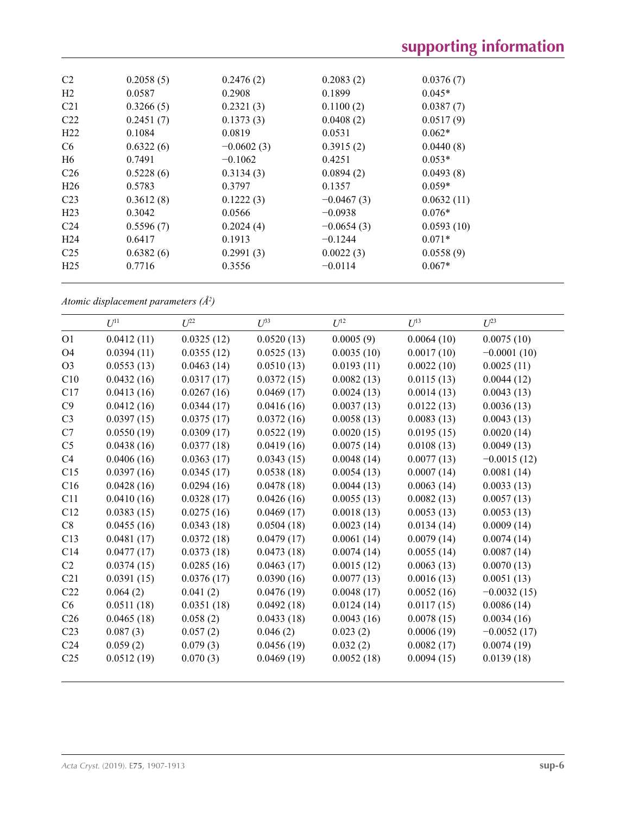| C <sub>2</sub>  | 0.2058(5) | 0.2476(2)    | 0.2083(2)    | 0.0376(7)  |  |
|-----------------|-----------|--------------|--------------|------------|--|
| H <sub>2</sub>  | 0.0587    | 0.2908       | 0.1899       | $0.045*$   |  |
| C <sub>21</sub> | 0.3266(5) | 0.2321(3)    | 0.1100(2)    | 0.0387(7)  |  |
| C <sub>22</sub> | 0.2451(7) | 0.1373(3)    | 0.0408(2)    | 0.0517(9)  |  |
| H22             | 0.1084    | 0.0819       | 0.0531       | $0.062*$   |  |
| C <sub>6</sub>  | 0.6322(6) | $-0.0602(3)$ | 0.3915(2)    | 0.0440(8)  |  |
| H <sub>6</sub>  | 0.7491    | $-0.1062$    | 0.4251       | $0.053*$   |  |
| C <sub>26</sub> | 0.5228(6) | 0.3134(3)    | 0.0894(2)    | 0.0493(8)  |  |
| H <sub>26</sub> | 0.5783    | 0.3797       | 0.1357       | $0.059*$   |  |
| C <sub>23</sub> | 0.3612(8) | 0.1222(3)    | $-0.0467(3)$ | 0.0632(11) |  |
| H <sub>23</sub> | 0.3042    | 0.0566       | $-0.0938$    | $0.076*$   |  |
| C <sub>24</sub> | 0.5596(7) | 0.2024(4)    | $-0.0654(3)$ | 0.0593(10) |  |
| H <sub>24</sub> | 0.6417    | 0.1913       | $-0.1244$    | $0.071*$   |  |
| C <sub>25</sub> | 0.6382(6) | 0.2991(3)    | 0.0022(3)    | 0.0558(9)  |  |
| H <sub>25</sub> | 0.7716    | 0.3556       | $-0.0114$    | $0.067*$   |  |
|                 |           |              |              |            |  |

*Atomic displacement parameters (Å2 )*

|                 | $U^{11}$   | $U^{22}$   | $U^{33}$   | $U^{12}$   | $U^{13}$   | $U^{23}$      |
|-----------------|------------|------------|------------|------------|------------|---------------|
| O <sub>1</sub>  | 0.0412(11) | 0.0325(12) | 0.0520(13) | 0.0005(9)  | 0.0064(10) | 0.0075(10)    |
| O4              | 0.0394(11) | 0.0355(12) | 0.0525(13) | 0.0035(10) | 0.0017(10) | $-0.0001(10)$ |
| O <sub>3</sub>  | 0.0553(13) | 0.0463(14) | 0.0510(13) | 0.0193(11) | 0.0022(10) | 0.0025(11)    |
| C10             | 0.0432(16) | 0.0317(17) | 0.0372(15) | 0.0082(13) | 0.0115(13) | 0.0044(12)    |
| C17             | 0.0413(16) | 0.0267(16) | 0.0469(17) | 0.0024(13) | 0.0014(13) | 0.0043(13)    |
| C9              | 0.0412(16) | 0.0344(17) | 0.0416(16) | 0.0037(13) | 0.0122(13) | 0.0036(13)    |
| C <sub>3</sub>  | 0.0397(15) | 0.0375(17) | 0.0372(16) | 0.0058(13) | 0.0083(13) | 0.0043(13)    |
| C7              | 0.0550(19) | 0.0309(17) | 0.0522(19) | 0.0020(15) | 0.0195(15) | 0.0020(14)    |
| C <sub>5</sub>  | 0.0438(16) | 0.0377(18) | 0.0419(16) | 0.0075(14) | 0.0108(13) | 0.0049(13)    |
| C <sub>4</sub>  | 0.0406(16) | 0.0363(17) | 0.0343(15) | 0.0048(14) | 0.0077(13) | $-0.0015(12)$ |
| C15             | 0.0397(16) | 0.0345(17) | 0.0538(18) | 0.0054(13) | 0.0007(14) | 0.0081(14)    |
| C16             | 0.0428(16) | 0.0294(16) | 0.0478(18) | 0.0044(13) | 0.0063(14) | 0.0033(13)    |
| C11             | 0.0410(16) | 0.0328(17) | 0.0426(16) | 0.0055(13) | 0.0082(13) | 0.0057(13)    |
| C12             | 0.0383(15) | 0.0275(16) | 0.0469(17) | 0.0018(13) | 0.0053(13) | 0.0053(13)    |
| C8              | 0.0455(16) | 0.0343(18) | 0.0504(18) | 0.0023(14) | 0.0134(14) | 0.0009(14)    |
| C13             | 0.0481(17) | 0.0372(18) | 0.0479(17) | 0.0061(14) | 0.0079(14) | 0.0074(14)    |
| C14             | 0.0477(17) | 0.0373(18) | 0.0473(18) | 0.0074(14) | 0.0055(14) | 0.0087(14)    |
| C <sub>2</sub>  | 0.0374(15) | 0.0285(16) | 0.0463(17) | 0.0015(12) | 0.0063(13) | 0.0070(13)    |
| C21             | 0.0391(15) | 0.0376(17) | 0.0390(16) | 0.0077(13) | 0.0016(13) | 0.0051(13)    |
| C22             | 0.064(2)   | 0.041(2)   | 0.0476(19) | 0.0048(17) | 0.0052(16) | $-0.0032(15)$ |
| C6              | 0.0511(18) | 0.0351(18) | 0.0492(18) | 0.0124(14) | 0.0117(15) | 0.0086(14)    |
| C <sub>26</sub> | 0.0465(18) | 0.058(2)   | 0.0433(18) | 0.0043(16) | 0.0078(15) | 0.0034(16)    |
| C <sub>23</sub> | 0.087(3)   | 0.057(2)   | 0.046(2)   | 0.023(2)   | 0.0006(19) | $-0.0052(17)$ |
| C <sub>24</sub> | 0.059(2)   | 0.079(3)   | 0.0456(19) | 0.032(2)   | 0.0082(17) | 0.0074(19)    |
| C <sub>25</sub> | 0.0512(19) | 0.070(3)   | 0.0469(19) | 0.0052(18) | 0.0094(15) | 0.0139(18)    |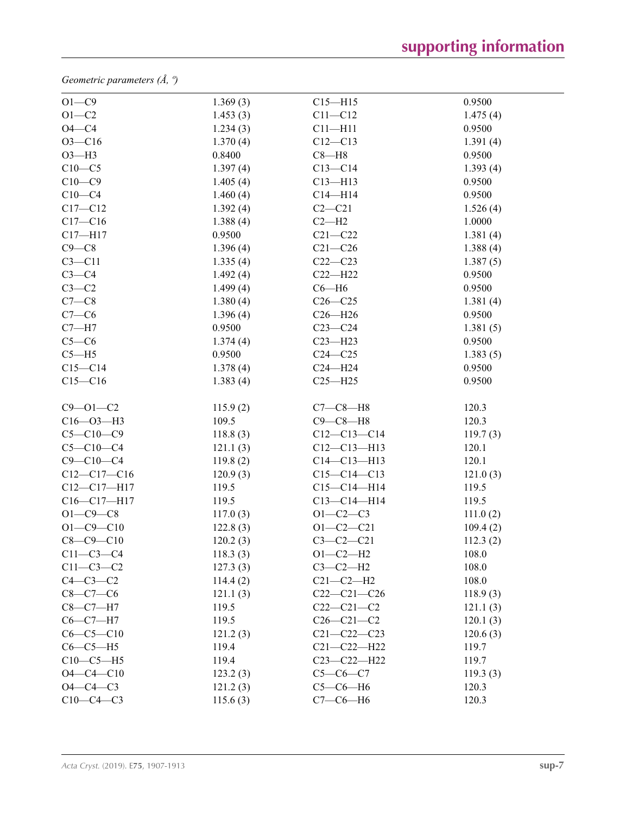*Geometric parameters (Å, º)*

| $O1 - C9$       | 1.369(3) | $C15 - H15$       | 0.9500   |
|-----------------|----------|-------------------|----------|
| $O1 - C2$       | 1.453(3) | $C11 - C12$       | 1.475(4) |
| $O4 - C4$       | 1.234(3) | $C11 - H11$       | 0.9500   |
| $O3 - C16$      | 1.370(4) | $C12 - C13$       | 1.391(4) |
| $O3-H3$         | 0.8400   | $C8 - H8$         | 0.9500   |
| $C10-C5$        | 1.397(4) | $C13-C14$         | 1.393(4) |
| $C10-C9$        | 1.405(4) | $C13 - H13$       | 0.9500   |
| $C10-C4$        | 1.460(4) | $C14 - H14$       | 0.9500   |
| $C17 - C12$     | 1.392(4) | $C2-C21$          | 1.526(4) |
| $C17 - C16$     | 1.388(4) | $C2-H2$           | 1.0000   |
| $C17 - H17$     | 0.9500   | $C21 - C22$       | 1.381(4) |
| $C9 - C8$       | 1.396(4) | $C21 - C26$       | 1.388(4) |
| $C3 - C11$      | 1.335(4) | $C22-C23$         | 1.387(5) |
| $C3-C4$         | 1.492(4) | $C22-H22$         | 0.9500   |
| $C3-C2$         | 1.499(4) | $C6 - H6$         | 0.9500   |
| $C7-C8$         | 1.380(4) | $C26-C25$         | 1.381(4) |
| $C7-C6$         | 1.396(4) | $C26 - H26$       | 0.9500   |
| $C7 - H7$       | 0.9500   | $C23-C24$         | 1.381(5) |
| $C5-C6$         | 1.374(4) | $C23 - H23$       | 0.9500   |
| $C5 - H5$       | 0.9500   | $C24 - C25$       | 1.383(5) |
| $C15-C14$       | 1.378(4) | $C24 - H24$       | 0.9500   |
| $C15 - C16$     | 1.383(4) | $C25 - H25$       | 0.9500   |
| $C9 - 01 - C2$  | 115.9(2) | $C7-C8-H8$        | 120.3    |
| $C16 - O3 - H3$ | 109.5    | $C9 - C8 - H8$    | 120.3    |
| $C5 - C10 - C9$ | 118.8(3) | $C12-C13-C14$     | 119.7(3) |
| $C5 - C10 - C4$ | 121.1(3) | $C12-C13-H13$     | 120.1    |
| $C9 - C10 - C4$ | 119.8(2) | $C14 - C13 - H13$ | 120.1    |
| $C12-C17-C16$   | 120.9(3) | $C15-C14-C13$     | 121.0(3) |
| $C12-C17-H17$   | 119.5    | $C15 - C14 - H14$ | 119.5    |
| C16-C17-H17     | 119.5    | $C13 - C14 - H14$ | 119.5    |
| $O1 - C9 - C8$  | 117.0(3) | $O1 - C2 - C3$    | 111.0(2) |
| $O1 - C9 - C10$ | 122.8(3) | $O1 - C2 - C21$   | 109.4(2) |
| $C8 - C9 - C10$ | 120.2(3) | $C3 - C2 - C21$   | 112.3(2) |
| $C11-C3-C4$     | 118.3(3) | $O1 - C2 - H2$    | 108.0    |
| $C11 - C3 - C2$ | 127.3(3) | $C3-C2-H2$        | 108.0    |
| $C4-C3-C2$      | 114.4(2) | $C21-C2-H2$       | 108.0    |
| $C8-C7-C6$      | 121.1(3) | $C22-C21-C26$     | 118.9(3) |
| $C8-C7-H7$      | 119.5    | $C22-C21-C2$      | 121.1(3) |
| $C6-C7-H7$      | 119.5    | $C26 - C21 - C2$  | 120.1(3) |
| $C6 - C5 - C10$ | 121.2(3) | $C21 - C22 - C23$ | 120.6(3) |
| $C6-C5-H5$      | 119.4    | $C21 - C22 - H22$ | 119.7    |
| $C10-C5-H5$     | 119.4    | $C23 - C22 - H22$ | 119.7    |
| $O4 - C4 - C10$ | 123.2(3) | $C5 - C6 - C7$    | 119.3(3) |
| $O4 - C4 - C3$  | 121.2(3) | $C5-C6-H6$        | 120.3    |
| $C10-C4-C3$     | 115.6(3) | $C7-C6-H6$        | 120.3    |